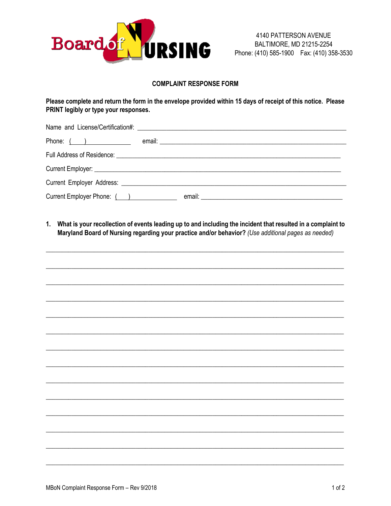

## **COMPLAINT RESPONSE FORM**

Please complete and return the form in the envelope provided within 15 days of receipt of this notice. Please PRINT legibly or type your responses.

| Phone: $($ $)$             | email: <u>The Communication of the Communication</u> |
|----------------------------|------------------------------------------------------|
|                            |                                                      |
|                            |                                                      |
|                            |                                                      |
| Current Employer Phone: () |                                                      |

1. What is your recollection of events leading up to and including the incident that resulted in a complaint to Maryland Board of Nursing regarding your practice and/or behavior? (Use additional pages as needed)